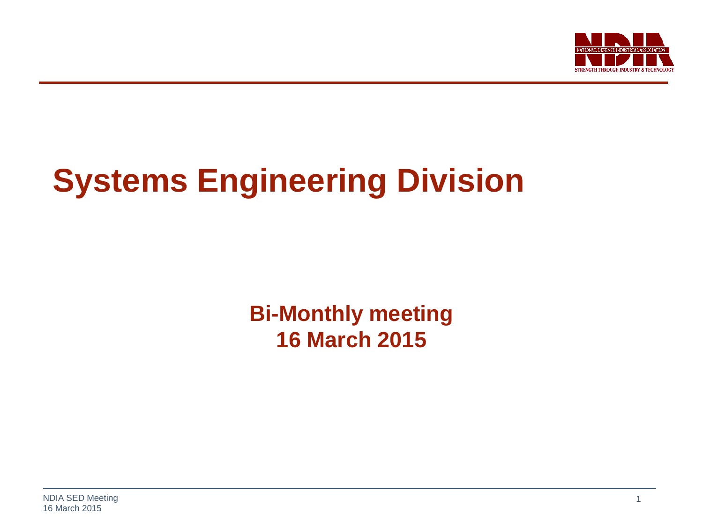

# **Systems Engineering Division**

**Bi-Monthly meeting 16 March 2015**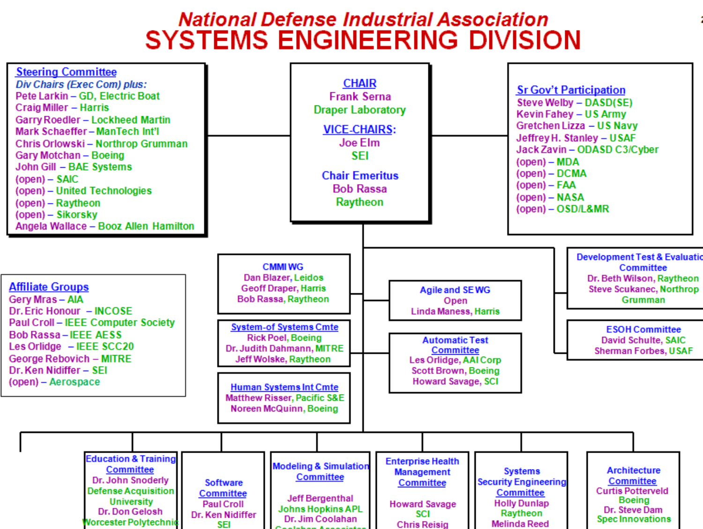#### **National Defense Industrial Association SYSTEMS ENGINEERING DIVISION**

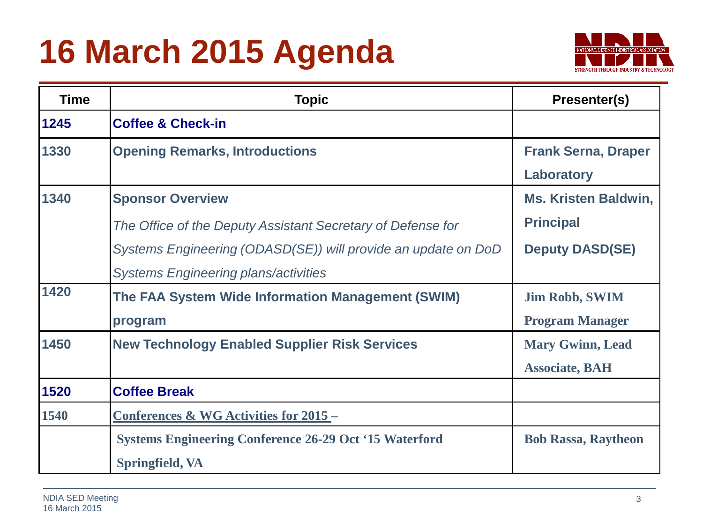# **16 March 2015 Agenda**



| <b>Time</b> | <b>Topic</b>                                                  | Presenter(s)                |
|-------------|---------------------------------------------------------------|-----------------------------|
| 1245        | <b>Coffee &amp; Check-in</b>                                  |                             |
| 1330        | <b>Opening Remarks, Introductions</b>                         | <b>Frank Serna, Draper</b>  |
|             |                                                               | Laboratory                  |
| 1340        | <b>Sponsor Overview</b>                                       | <b>Ms. Kristen Baldwin,</b> |
|             | The Office of the Deputy Assistant Secretary of Defense for   | <b>Principal</b>            |
|             | Systems Engineering (ODASD(SE)) will provide an update on DoD | <b>Deputy DASD(SE)</b>      |
|             | <b>Systems Engineering plans/activities</b>                   |                             |
| 1420        | The FAA System Wide Information Management (SWIM)             | <b>Jim Robb, SWIM</b>       |
|             | program                                                       | <b>Program Manager</b>      |
| 1450        | <b>New Technology Enabled Supplier Risk Services</b>          | <b>Mary Gwinn, Lead</b>     |
|             |                                                               | <b>Associate, BAH</b>       |
| 1520        | <b>Coffee Break</b>                                           |                             |
| 1540        | <u>Conferences &amp; WG Activities for 2015 -</u>             |                             |
|             | <b>Systems Engineering Conference 26-29 Oct '15 Waterford</b> | <b>Bob Rassa, Raytheon</b>  |
|             | Springfield, VA                                               |                             |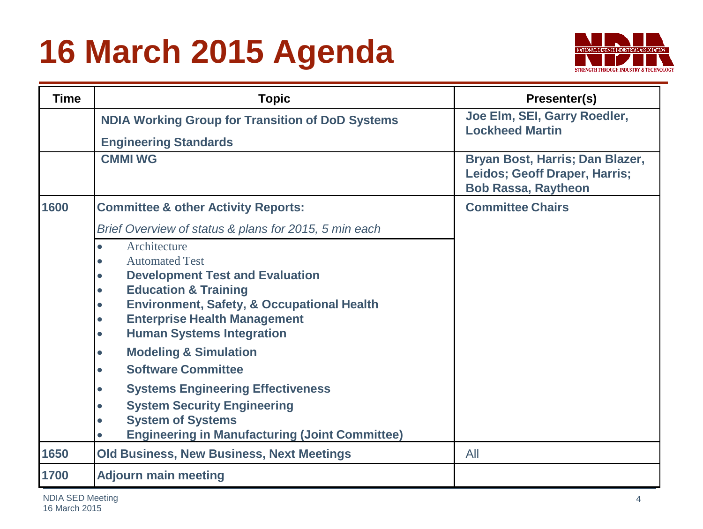# **16 March 2015 Agenda**



| <b>Time</b> | <b>Topic</b>                                                                                                                                                                                                                                                                                                                                                                                                                                                                                                                                                                                      | Presenter(s)                                                                                   |
|-------------|---------------------------------------------------------------------------------------------------------------------------------------------------------------------------------------------------------------------------------------------------------------------------------------------------------------------------------------------------------------------------------------------------------------------------------------------------------------------------------------------------------------------------------------------------------------------------------------------------|------------------------------------------------------------------------------------------------|
|             | <b>NDIA Working Group for Transition of DoD Systems</b>                                                                                                                                                                                                                                                                                                                                                                                                                                                                                                                                           | Joe Elm, SEI, Garry Roedler,<br><b>Lockheed Martin</b>                                         |
|             | <b>Engineering Standards</b>                                                                                                                                                                                                                                                                                                                                                                                                                                                                                                                                                                      |                                                                                                |
|             | <b>CMMI WG</b>                                                                                                                                                                                                                                                                                                                                                                                                                                                                                                                                                                                    | Bryan Bost, Harris; Dan Blazer,<br>Leidos; Geoff Draper, Harris;<br><b>Bob Rassa, Raytheon</b> |
| 1600        | <b>Committee &amp; other Activity Reports:</b>                                                                                                                                                                                                                                                                                                                                                                                                                                                                                                                                                    | <b>Committee Chairs</b>                                                                        |
|             | Brief Overview of status & plans for 2015, 5 min each                                                                                                                                                                                                                                                                                                                                                                                                                                                                                                                                             |                                                                                                |
|             | Architecture<br>$\bullet$<br><b>Automated Test</b><br>$\bullet$<br><b>Development Test and Evaluation</b><br>$\bullet$<br><b>Education &amp; Training</b><br>$\bullet$<br><b>Environment, Safety, &amp; Occupational Health</b><br>$\bullet$<br><b>Enterprise Health Management</b><br>$\bullet$<br><b>Human Systems Integration</b><br>$\bullet$<br><b>Modeling &amp; Simulation</b><br>$\bullet$<br><b>Software Committee</b><br>$\bullet$<br><b>Systems Engineering Effectiveness</b><br>$\bullet$<br><b>System Security Engineering</b><br>$\bullet$<br><b>System of Systems</b><br>$\bullet$ |                                                                                                |
|             | <b>Engineering in Manufacturing (Joint Committee)</b>                                                                                                                                                                                                                                                                                                                                                                                                                                                                                                                                             |                                                                                                |
| 1650        | <b>Old Business, New Business, Next Meetings</b>                                                                                                                                                                                                                                                                                                                                                                                                                                                                                                                                                  | All                                                                                            |
| 1700        | <b>Adjourn main meeting</b>                                                                                                                                                                                                                                                                                                                                                                                                                                                                                                                                                                       |                                                                                                |